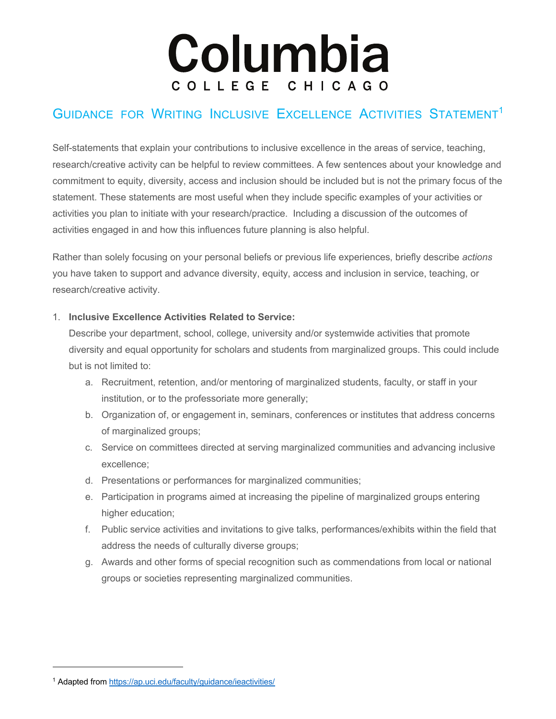# Columbia COLLEGE CHICAGO

## GUIDANCE FOR WRITING INCLUSIVE EXCELLENCE ACTIVITIES STATEMENT<sup>1</sup>

Self-statements that explain your contributions to inclusive excellence in the areas of service, teaching, research/creative activity can be helpful to review committees. A few sentences about your knowledge and commitment to equity, diversity, access and inclusion should be included but is not the primary focus of the statement. These statements are most useful when they include specific examples of your activities or activities you plan to initiate with your research/practice. Including a discussion of the outcomes of activities engaged in and how this influences future planning is also helpful.

Rather than solely focusing on your personal beliefs or previous life experiences, briefly describe *actions* you have taken to support and advance diversity, equity, access and inclusion in service, teaching, or research/creative activity.

### 1. **Inclusive Excellence Activities Related to Service:**

Describe your department, school, college, university and/or systemwide activities that promote diversity and equal opportunity for scholars and students from marginalized groups. This could include but is not limited to:

- a. Recruitment, retention, and/or mentoring of marginalized students, faculty, or staff in your institution, or to the professoriate more generally;
- b. Organization of, or engagement in, seminars, conferences or institutes that address concerns of marginalized groups;
- c. Service on committees directed at serving marginalized communities and advancing inclusive excellence;
- d. Presentations or performances for marginalized communities;
- e. Participation in programs aimed at increasing the pipeline of marginalized groups entering higher education;
- f. Public service activities and invitations to give talks, performances/exhibits within the field that address the needs of culturally diverse groups;
- g. Awards and other forms of special recognition such as commendations from local or national groups or societies representing marginalized communities.

<sup>1</sup> Adapted from https://ap.uci.edu/faculty/guidance/ieactivities/